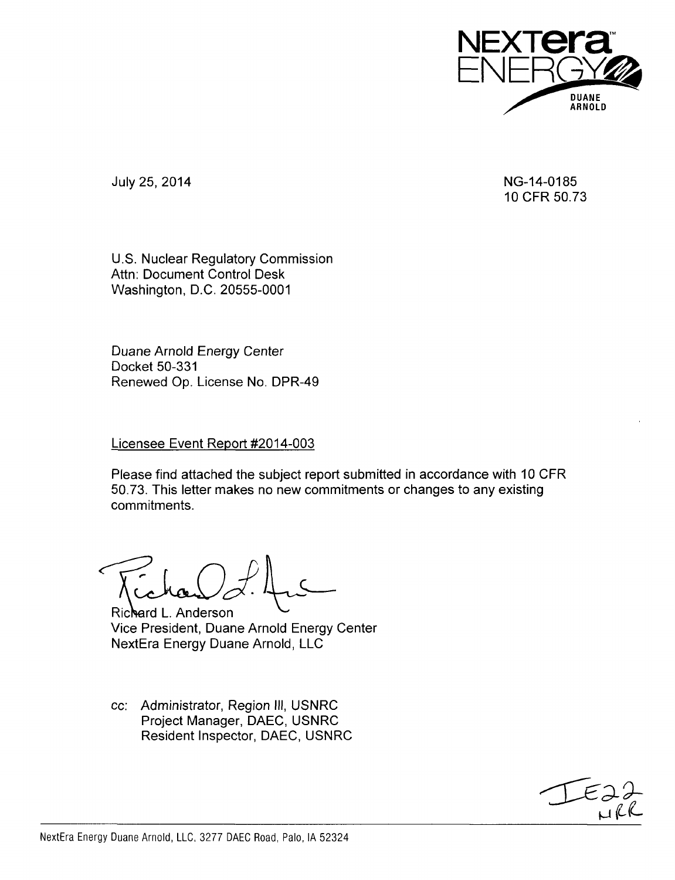

July 25, 2014 NG-14-0185

10 CFR 50.73

U.S. Nuclear Regulatory Commission Attn: Document Control Desk Washington, D.C. 20555-0001

Duane Arnold Energy Center Docket 50-331 Renewed Op. License No. DPR-49

## Licensee Event Report #2014-003

Please find attached the subject report submitted in accordance with 10 CFR 50.73. This letter makes no new commitments or changes to any existing commitments.

Richard L. Anderson Vice President, Duane Arnold Energy Center NextEra Energy Duane Arnold, LLC

cc: Administrator, Region Ill, USNRC Project Manager, DAEC, USNRC Resident Inspector, DAEC, USNRC

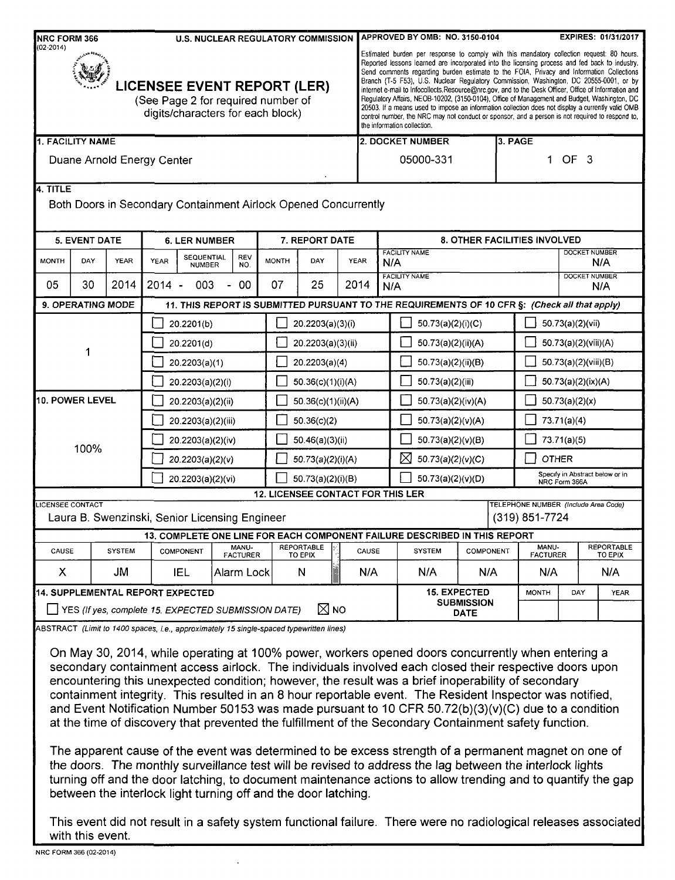| <b>NRC FORM 366</b><br><b>U.S. NUCLEAR REGULATORY COMMISSION</b>                                                               |                                                                                      |                   |                                                                                                 |                                                                                                                              |                                                                                                                                                           | APPROVED BY OMB: NO. 3150-0104<br><b>EXPIRES: 01/31/2017</b> |                                   |                                     |                                                                                                                                                                                                                                                                                                                                                                                                                                                                                                                                                                                                                                                                                                                                                                                                                                  |                                          |                                                                                                                                                                                                                                                                                                                                                                                                                                                                                                                                                                                                                                                                                                                                                                                                                                                                                                                                                                                    |           |                             |                                                        |  |             |  |
|--------------------------------------------------------------------------------------------------------------------------------|--------------------------------------------------------------------------------------|-------------------|-------------------------------------------------------------------------------------------------|------------------------------------------------------------------------------------------------------------------------------|-----------------------------------------------------------------------------------------------------------------------------------------------------------|--------------------------------------------------------------|-----------------------------------|-------------------------------------|----------------------------------------------------------------------------------------------------------------------------------------------------------------------------------------------------------------------------------------------------------------------------------------------------------------------------------------------------------------------------------------------------------------------------------------------------------------------------------------------------------------------------------------------------------------------------------------------------------------------------------------------------------------------------------------------------------------------------------------------------------------------------------------------------------------------------------|------------------------------------------|------------------------------------------------------------------------------------------------------------------------------------------------------------------------------------------------------------------------------------------------------------------------------------------------------------------------------------------------------------------------------------------------------------------------------------------------------------------------------------------------------------------------------------------------------------------------------------------------------------------------------------------------------------------------------------------------------------------------------------------------------------------------------------------------------------------------------------------------------------------------------------------------------------------------------------------------------------------------------------|-----------|-----------------------------|--------------------------------------------------------|--|-------------|--|
| $(02 - 2014)$<br><b>LICENSEE EVENT REPORT (LER)</b><br>(See Page 2 for required number of<br>digits/characters for each block) |                                                                                      |                   |                                                                                                 |                                                                                                                              |                                                                                                                                                           |                                                              |                                   |                                     | Estimated burden per response to comply with this mandatory collection request: 80 hours.<br>Reported lessons learned are incorporated into the licensing process and fed back to industry.<br>Send comments regarding burden estimate to the FOIA, Privacy and Information Collections<br>Branch (T-5 F53), U.S. Nuclear Regulatory Commission, Washington, DC 20555-0001, or by<br>internet e-mail to Infocollects Resource@nrc.gov, and to the Desk Officer, Office of Information and<br>Regulatory Affairs, NEOB-10202, (3150-0104), Office of Management and Budget, Washington, DC<br>20503. If a means used to impose an information collection does not display a currently valid OMB<br>control number, the NRC may not conduct or sponsor, and a person is not required to respond to,<br>the information collection. |                                          |                                                                                                                                                                                                                                                                                                                                                                                                                                                                                                                                                                                                                                                                                                                                                                                                                                                                                                                                                                                    |           |                             |                                                        |  |             |  |
| 1. FACILITY NAME                                                                                                               |                                                                                      |                   |                                                                                                 |                                                                                                                              |                                                                                                                                                           |                                                              |                                   |                                     |                                                                                                                                                                                                                                                                                                                                                                                                                                                                                                                                                                                                                                                                                                                                                                                                                                  | 2. DOCKET NUMBER                         |                                                                                                                                                                                                                                                                                                                                                                                                                                                                                                                                                                                                                                                                                                                                                                                                                                                                                                                                                                                    | 3. PAGE   |                             |                                                        |  |             |  |
| Duane Arnold Energy Center                                                                                                     |                                                                                      |                   |                                                                                                 |                                                                                                                              |                                                                                                                                                           |                                                              |                                   | OF <sub>3</sub><br>05000-331        |                                                                                                                                                                                                                                                                                                                                                                                                                                                                                                                                                                                                                                                                                                                                                                                                                                  |                                          |                                                                                                                                                                                                                                                                                                                                                                                                                                                                                                                                                                                                                                                                                                                                                                                                                                                                                                                                                                                    |           |                             |                                                        |  |             |  |
| 4. TITLE                                                                                                                       |                                                                                      |                   |                                                                                                 |                                                                                                                              | Both Doors in Secondary Containment Airlock Opened Concurrently                                                                                           |                                                              |                                   |                                     |                                                                                                                                                                                                                                                                                                                                                                                                                                                                                                                                                                                                                                                                                                                                                                                                                                  |                                          |                                                                                                                                                                                                                                                                                                                                                                                                                                                                                                                                                                                                                                                                                                                                                                                                                                                                                                                                                                                    |           |                             |                                                        |  |             |  |
|                                                                                                                                | <b>5. EVENT DATE</b><br>7. REPORT DATE<br><b>6. LER NUMBER</b>                       |                   |                                                                                                 |                                                                                                                              |                                                                                                                                                           |                                                              |                                   | <b>8. OTHER FACILITIES INVOLVED</b> |                                                                                                                                                                                                                                                                                                                                                                                                                                                                                                                                                                                                                                                                                                                                                                                                                                  |                                          |                                                                                                                                                                                                                                                                                                                                                                                                                                                                                                                                                                                                                                                                                                                                                                                                                                                                                                                                                                                    |           |                             |                                                        |  |             |  |
| <b>MONTH</b>                                                                                                                   | DAY                                                                                  | <b>YEAR</b>       | YEAR                                                                                            | <b>FACILITY NAME</b><br><b>SEQUENTIAL</b><br><b>REV</b><br><b>MONTH</b><br>DAY<br><b>YEAR</b><br>N/A<br><b>NUMBER</b><br>NO. |                                                                                                                                                           |                                                              |                                   |                                     | <b>DOCKET NUMBER</b><br>N/A                                                                                                                                                                                                                                                                                                                                                                                                                                                                                                                                                                                                                                                                                                                                                                                                      |                                          |                                                                                                                                                                                                                                                                                                                                                                                                                                                                                                                                                                                                                                                                                                                                                                                                                                                                                                                                                                                    |           |                             |                                                        |  |             |  |
| 05                                                                                                                             | 30                                                                                   | 2014              | $2014 -$                                                                                        | 003                                                                                                                          | 00<br>$\overline{\phantom{0}}$                                                                                                                            | 07                                                           | 25                                |                                     | 2014                                                                                                                                                                                                                                                                                                                                                                                                                                                                                                                                                                                                                                                                                                                                                                                                                             |                                          | <b>FACILITY NAME</b><br>N/A                                                                                                                                                                                                                                                                                                                                                                                                                                                                                                                                                                                                                                                                                                                                                                                                                                                                                                                                                        |           | <b>DOCKET NUMBER</b><br>N/A |                                                        |  |             |  |
|                                                                                                                                |                                                                                      | 9. OPERATING MODE |                                                                                                 |                                                                                                                              |                                                                                                                                                           |                                                              |                                   |                                     |                                                                                                                                                                                                                                                                                                                                                                                                                                                                                                                                                                                                                                                                                                                                                                                                                                  |                                          | 11. THIS REPORT IS SUBMITTED PURSUANT TO THE REQUIREMENTS OF 10 CFR §: (Check all that apply)                                                                                                                                                                                                                                                                                                                                                                                                                                                                                                                                                                                                                                                                                                                                                                                                                                                                                      |           |                             |                                                        |  |             |  |
|                                                                                                                                |                                                                                      |                   |                                                                                                 | 20.2201(b)                                                                                                                   |                                                                                                                                                           |                                                              | 20.2203(a)(3)(i)                  |                                     |                                                                                                                                                                                                                                                                                                                                                                                                                                                                                                                                                                                                                                                                                                                                                                                                                                  |                                          | 50.73(a)(2)(i)(C)                                                                                                                                                                                                                                                                                                                                                                                                                                                                                                                                                                                                                                                                                                                                                                                                                                                                                                                                                                  |           |                             | 50.73(a)(2)(vii)                                       |  |             |  |
|                                                                                                                                |                                                                                      |                   |                                                                                                 | 20.2201(d)                                                                                                                   |                                                                                                                                                           |                                                              | 20.2203(a)(3)(ii)                 |                                     |                                                                                                                                                                                                                                                                                                                                                                                                                                                                                                                                                                                                                                                                                                                                                                                                                                  |                                          | 50.73(a)(2)(ii)(A)                                                                                                                                                                                                                                                                                                                                                                                                                                                                                                                                                                                                                                                                                                                                                                                                                                                                                                                                                                 |           |                             | 50.73(a)(2)(viii)(A)                                   |  |             |  |
|                                                                                                                                | 1                                                                                    |                   |                                                                                                 | 20.2203(a)(1)                                                                                                                |                                                                                                                                                           |                                                              | 20.2203(a)(4)                     |                                     |                                                                                                                                                                                                                                                                                                                                                                                                                                                                                                                                                                                                                                                                                                                                                                                                                                  |                                          | 50.73(a)(2)(ii)(B)                                                                                                                                                                                                                                                                                                                                                                                                                                                                                                                                                                                                                                                                                                                                                                                                                                                                                                                                                                 |           |                             | 50.73(a)(2)(viii)(B)                                   |  |             |  |
|                                                                                                                                |                                                                                      |                   |                                                                                                 | 20.2203(a)(2)(i)                                                                                                             |                                                                                                                                                           |                                                              | 50.36(c)(1)(i)(A)                 |                                     |                                                                                                                                                                                                                                                                                                                                                                                                                                                                                                                                                                                                                                                                                                                                                                                                                                  |                                          | 50.73(a)(2)(iii)                                                                                                                                                                                                                                                                                                                                                                                                                                                                                                                                                                                                                                                                                                                                                                                                                                                                                                                                                                   |           |                             | 50.73(a)(2)(ix)(A)                                     |  |             |  |
|                                                                                                                                | 10. POWER LEVEL                                                                      |                   |                                                                                                 | 20.2203(a)(2)(ii)                                                                                                            |                                                                                                                                                           |                                                              | 50.36(c)(1)(ii)(A)                |                                     |                                                                                                                                                                                                                                                                                                                                                                                                                                                                                                                                                                                                                                                                                                                                                                                                                                  |                                          | 50.73(a)(2)(iv)(A)                                                                                                                                                                                                                                                                                                                                                                                                                                                                                                                                                                                                                                                                                                                                                                                                                                                                                                                                                                 |           |                             | 50.73(a)(2)(x)                                         |  |             |  |
|                                                                                                                                |                                                                                      |                   |                                                                                                 | 20.2203(a)(2)(iii)                                                                                                           |                                                                                                                                                           |                                                              | 50.36(c)(2)                       |                                     |                                                                                                                                                                                                                                                                                                                                                                                                                                                                                                                                                                                                                                                                                                                                                                                                                                  |                                          | 50.73(a)(2)(v)(A)                                                                                                                                                                                                                                                                                                                                                                                                                                                                                                                                                                                                                                                                                                                                                                                                                                                                                                                                                                  |           |                             | 73.71(a)(4)                                            |  |             |  |
|                                                                                                                                |                                                                                      |                   |                                                                                                 | 20.2203(a)(2)(iv)                                                                                                            |                                                                                                                                                           |                                                              | 50.46(a)(3)(ii)                   |                                     |                                                                                                                                                                                                                                                                                                                                                                                                                                                                                                                                                                                                                                                                                                                                                                                                                                  |                                          | 50.73(a)(2)(v)(B)                                                                                                                                                                                                                                                                                                                                                                                                                                                                                                                                                                                                                                                                                                                                                                                                                                                                                                                                                                  |           |                             | 73.71(a)(5)                                            |  |             |  |
| 100%                                                                                                                           |                                                                                      |                   |                                                                                                 | 20.2203(a)(2)(v)                                                                                                             |                                                                                                                                                           |                                                              | 50.73(a)(2)(i)(A)                 |                                     |                                                                                                                                                                                                                                                                                                                                                                                                                                                                                                                                                                                                                                                                                                                                                                                                                                  |                                          | X<br>50.73(a)(2)(v)(C)                                                                                                                                                                                                                                                                                                                                                                                                                                                                                                                                                                                                                                                                                                                                                                                                                                                                                                                                                             |           |                             | <b>OTHER</b>                                           |  |             |  |
|                                                                                                                                |                                                                                      |                   |                                                                                                 | 20.2203(a)(2)(vi)                                                                                                            |                                                                                                                                                           |                                                              | 50.73(a)(2)(i)(B)                 |                                     |                                                                                                                                                                                                                                                                                                                                                                                                                                                                                                                                                                                                                                                                                                                                                                                                                                  |                                          | 50.73(a)(2)(v)(D)                                                                                                                                                                                                                                                                                                                                                                                                                                                                                                                                                                                                                                                                                                                                                                                                                                                                                                                                                                  |           |                             | Specify in Abstract below or in<br>NRC Form 366A       |  |             |  |
|                                                                                                                                |                                                                                      |                   |                                                                                                 |                                                                                                                              |                                                                                                                                                           |                                                              | 12. LICENSEE CONTACT FOR THIS LER |                                     |                                                                                                                                                                                                                                                                                                                                                                                                                                                                                                                                                                                                                                                                                                                                                                                                                                  |                                          |                                                                                                                                                                                                                                                                                                                                                                                                                                                                                                                                                                                                                                                                                                                                                                                                                                                                                                                                                                                    |           |                             |                                                        |  |             |  |
| <b>LICENSEE CONTACT</b>                                                                                                        |                                                                                      |                   |                                                                                                 |                                                                                                                              | Laura B. Swenzinski, Senior Licensing Engineer                                                                                                            |                                                              |                                   |                                     |                                                                                                                                                                                                                                                                                                                                                                                                                                                                                                                                                                                                                                                                                                                                                                                                                                  |                                          |                                                                                                                                                                                                                                                                                                                                                                                                                                                                                                                                                                                                                                                                                                                                                                                                                                                                                                                                                                                    |           |                             | TELEPHONE NUMBER (Include Area Code)<br>(319) 851-7724 |  |             |  |
|                                                                                                                                |                                                                                      |                   | 13. COMPLETE ONE LINE FOR EACH COMPONENT FAILURE DESCRIBED IN THIS REPORT<br>MANU-<br>COMPONENT |                                                                                                                              |                                                                                                                                                           | <b>REPORTABLE</b>                                            |                                   |                                     |                                                                                                                                                                                                                                                                                                                                                                                                                                                                                                                                                                                                                                                                                                                                                                                                                                  |                                          |                                                                                                                                                                                                                                                                                                                                                                                                                                                                                                                                                                                                                                                                                                                                                                                                                                                                                                                                                                                    |           | MANU-                       | <b>REPORTABLE</b>                                      |  |             |  |
|                                                                                                                                | CAUSE<br><b>SYSTEM</b>                                                               |                   |                                                                                                 |                                                                                                                              |                                                                                                                                                           | <b>FACTURER</b><br><b>TO EPIX</b>                            |                                   |                                     | CAUSE                                                                                                                                                                                                                                                                                                                                                                                                                                                                                                                                                                                                                                                                                                                                                                                                                            |                                          | <b>SYSTEM</b>                                                                                                                                                                                                                                                                                                                                                                                                                                                                                                                                                                                                                                                                                                                                                                                                                                                                                                                                                                      | COMPONENT |                             | <b>FACTURER</b>                                        |  | TO EPIX     |  |
| X                                                                                                                              |                                                                                      | JM                | IEL<br>Alarm Lock                                                                               |                                                                                                                              |                                                                                                                                                           | N                                                            |                                   | N/A                                 |                                                                                                                                                                                                                                                                                                                                                                                                                                                                                                                                                                                                                                                                                                                                                                                                                                  | N/A<br>N/A                               |                                                                                                                                                                                                                                                                                                                                                                                                                                                                                                                                                                                                                                                                                                                                                                                                                                                                                                                                                                                    |           | N/A                         |                                                        |  | N/A         |  |
| 14. SUPPLEMENTAL REPORT EXPECTED                                                                                               |                                                                                      |                   |                                                                                                 |                                                                                                                              |                                                                                                                                                           |                                                              |                                   |                                     |                                                                                                                                                                                                                                                                                                                                                                                                                                                                                                                                                                                                                                                                                                                                                                                                                                  | <b>15. EXPECTED</b><br><b>SUBMISSION</b> |                                                                                                                                                                                                                                                                                                                                                                                                                                                                                                                                                                                                                                                                                                                                                                                                                                                                                                                                                                                    |           | <b>MONTH</b>                | DAY                                                    |  | <b>YEAR</b> |  |
|                                                                                                                                | $\boxtimes$ NO<br>$\blacksquare$ YES (If yes, complete 15. EXPECTED SUBMISSION DATE) |                   |                                                                                                 |                                                                                                                              |                                                                                                                                                           |                                                              |                                   |                                     |                                                                                                                                                                                                                                                                                                                                                                                                                                                                                                                                                                                                                                                                                                                                                                                                                                  |                                          | <b>DATE</b>                                                                                                                                                                                                                                                                                                                                                                                                                                                                                                                                                                                                                                                                                                                                                                                                                                                                                                                                                                        |           |                             |                                                        |  |             |  |
|                                                                                                                                |                                                                                      |                   |                                                                                                 |                                                                                                                              | ABSTRACT (Limit to 1400 spaces, i.e., approximately 15 single-spaced typewritten lines)<br>between the interlock light turning off and the door latching. |                                                              |                                   |                                     |                                                                                                                                                                                                                                                                                                                                                                                                                                                                                                                                                                                                                                                                                                                                                                                                                                  |                                          | On May 30, 2014, while operating at 100% power, workers opened doors concurrently when entering a<br>secondary containment access airlock. The individuals involved each closed their respective doors upon<br>encountering this unexpected condition; however, the result was a brief inoperability of secondary<br>containment integrity. This resulted in an 8 hour reportable event. The Resident Inspector was notified,<br>and Event Notification Number 50153 was made pursuant to 10 CFR 50.72(b)(3)(v)(C) due to a condition<br>at the time of discovery that prevented the fulfillment of the Secondary Containment safety function.<br>The apparent cause of the event was determined to be excess strength of a permanent magnet on one of<br>the doors. The monthly surveillance test will be revised to address the lag between the interlock lights<br>turning off and the door latching, to document maintenance actions to allow trending and to quantify the gap |           |                             |                                                        |  |             |  |

This event did not result in a safety system functional failure. There were no radiological releases associated with this event.

 $\overline{a}$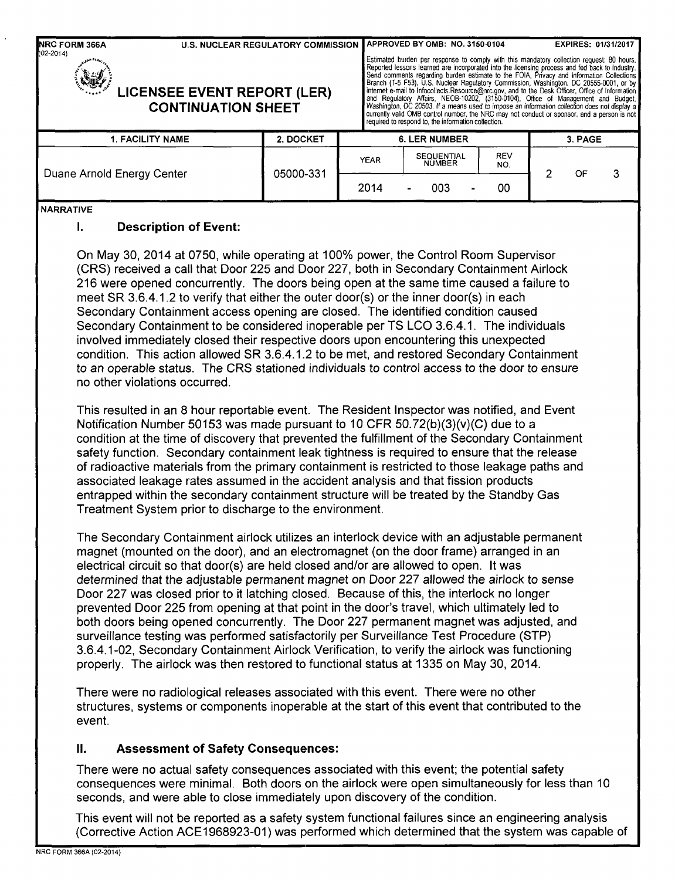| <b>NRC FORM 366A</b><br>$(02 - 2014)$<br><b>LICENSEE EVENT REPORT (LER)</b> | <b>U.S. NUCLEAR REGULATORY COMMISSION</b> | APPROVED BY OMB: NO. 3150-0104<br><b>EXPIRES: 01/31/2017</b><br>Estimated burden per response to comply with this mandatory collection request: 80 hours.<br>Reported lessons learned are incorporated into the licensing process and fed back to industry.<br>Send comments regarding burden estimate to the FOIA, Privacy and Information Collections<br>Branch (T-5 F53), U.S. Nuclear Regulatory Commission, Washington, DC 20555-0001, or by<br>internet e-mail to Infocollects.Resource@nrc.gov, and to the Desk Officer, Office of Information<br>and Regulatory Affairs, NEOB-10202, (3150-0104), Office of Management and Budget,<br>Washington, DC 20503. If a means used to impose an information collection does not display a<br>currently valid OMB control number, the NRC may not conduct or sponsor, and a person is not<br>required to respond to, the information collection. |             |  |                                    |  |                   |  |    |  |
|-----------------------------------------------------------------------------|-------------------------------------------|--------------------------------------------------------------------------------------------------------------------------------------------------------------------------------------------------------------------------------------------------------------------------------------------------------------------------------------------------------------------------------------------------------------------------------------------------------------------------------------------------------------------------------------------------------------------------------------------------------------------------------------------------------------------------------------------------------------------------------------------------------------------------------------------------------------------------------------------------------------------------------------------------|-------------|--|------------------------------------|--|-------------------|--|----|--|
| <b>1. FACILITY NAME</b>                                                     |                                           | <b>6. LER NUMBER</b>                                                                                                                                                                                                                                                                                                                                                                                                                                                                                                                                                                                                                                                                                                                                                                                                                                                                             |             |  |                                    |  | 3. PAGE           |  |    |  |
| Duane Arnold Energy Center                                                  |                                           | 05000-331                                                                                                                                                                                                                                                                                                                                                                                                                                                                                                                                                                                                                                                                                                                                                                                                                                                                                        | <b>YEAR</b> |  | <b>SEQUENTIAL</b><br><b>NUMBER</b> |  | <b>REV</b><br>NO. |  | OF |  |
|                                                                             |                                           |                                                                                                                                                                                                                                                                                                                                                                                                                                                                                                                                                                                                                                                                                                                                                                                                                                                                                                  | 2014        |  | 003                                |  | 00                |  |    |  |
| <b>NARRATIVE</b><br>ι.                                                      | <b>Description of Event:</b>              |                                                                                                                                                                                                                                                                                                                                                                                                                                                                                                                                                                                                                                                                                                                                                                                                                                                                                                  |             |  |                                    |  |                   |  |    |  |

On May 30, 2014 at 0750, while operating at 100% power, the Control Room Supervisor (CRS) received a call that Door 225 and Door 227, both in Secondary Containment Airlock 216 were opened concurrently. The doors being open at the same time caused a failure to meet SR 3.6.4.1.2 to verify that either the outer door(s) or the inner door(s) in each Secondary Containment access opening are closed. The identified condition caused Secondary Containment to be considered inoperable per TS LCO 3.6.4.1. The individuals involved immediately closed their respective doors upon encountering this unexpected condition. This action allowed SR 3.6.4.1.2 to be met, and restored Secondary Containment to an operable status. The CRS stationed individuals to control access to the door to ensure no other violations occurred.

This resulted in an 8 hour reportable event. The Resident Inspector was notified, and Event Notification Number 50153 was made pursuant to 10 CFR 50.72(b)(3)(v)(C) due to a condition at the time of discovery that prevented the fulfillment of the Secondary Containment safety function. Secondary containment leak tightness is required to ensure that the release of radioactive materials from the primary containment is restricted to those leakage paths and associated leakage rates assumed in the accident analysis and that fission products entrapped within the secondary containment structure will be treated by the Standby Gas Treatment System prior to discharge to the environment.

The Secondary Containment airlock utilizes an interlock device with an adjustable permanent magnet (mounted on the door), and an electromagnet (on the door frame) arranged in an electrical circuit so that door(s) are held closed and/or are allowed to open. It was determined that the adjustable permanent magnet on Door 227 allowed the airlock to sense Door 227 was closed prior to it latching closed. Because of this, the interlock no longer prevented Door 225 from opening at that point in the door's travel, which ultimately led to both doors being opened concurrently. The Door 227 permanent magnet was adjusted, and surveillance testing was performed satisfactorily per Surveillance Test Procedure (STP) 3.6.4.1-02, Secondary Containment Airlock Verification, to verify the airlock was functioning properly. The airlock was then restored to functional status at 1335 on May 30, 2014.

There were no radiological releases associated with this event. There were no other structures, systems or components inoperable at the start of this event that contributed to the event.

# **II.** Assessment of Safety Consequences:

There were no actual safety consequences associated with this event; the potential safety consequences were minimal. Both doors on the airlock were open simultaneously for less than 10 seconds, and were able to close immediately upon discovery of the condition.

This event will not be reported as a safety system functional failures since an engineering analysis (Corrective Action ACE1968923-01) was performed which determined that the system was capable of